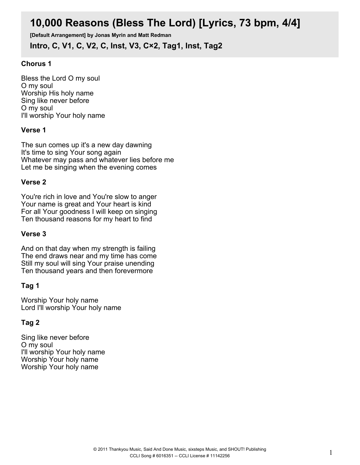# **10,000 Reasons (Bless The Lord) [Lyrics, 73 bpm, 4/4]**

**[Default Arrangement] by Jonas Myrin and Matt Redman**

**Intro, C, V1, C, V2, C, Inst, V3, C×2, Tag1, Inst, Tag2**

## **Chorus 1**

Bless the Lord O my soul O my soul Worship His holy name Sing like never before O my soul I'll worship Your holy name

## **Verse 1**

The sun comes up it's a new day dawning It's time to sing Your song again Whatever may pass and whatever lies before me Let me be singing when the evening comes

## **Verse 2**

You're rich in love and You're slow to anger Your name is great and Your heart is kind For all Your goodness I will keep on singing Ten thousand reasons for my heart to find

## **Verse 3**

And on that day when my strength is failing The end draws near and my time has come Still my soul will sing Your praise unending Ten thousand years and then forevermore

## **Tag 1**

Worship Your holy name Lord I'll worship Your holy name

## **Tag 2**

Sing like never before O my soul I'll worship Your holy name Worship Your holy name Worship Your holy name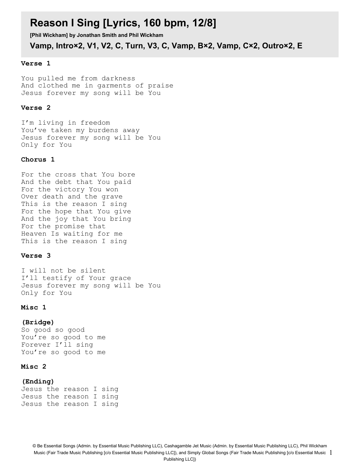## **Reason I Sing [Lyrics, 160 bpm, 12/8]**

**[Phil Wickham] by Jonathan Smith and Phil Wickham**

**Vamp, Intro×2, V1, V2, C, Turn, V3, C, Vamp, B×2, Vamp, C×2, Outro×2, E**

#### **Verse 1**

You pulled me from darkness And clothed me in garments of praise Jesus forever my song will be You

## **Verse 2**

I'm living in freedom You've taken my burdens away Jesus forever my song will be You Only for You

### **Chorus 1**

For the cross that You bore And the debt that You paid For the victory You won Over death and the grave This is the reason I sing For the hope that You give And the joy that You bring For the promise that Heaven Is waiting for me This is the reason I sing

### **Verse 3**

I will not be silent I'll testify of Your grace Jesus forever my song will be You Only for You

### **Misc 1**

## **(Bridge)**

So good so good You're so good to me Forever I'll sing You're so good to me

### **Misc 2**

### **(Ending)**

|  | Jesus the reason I sing |  |
|--|-------------------------|--|
|  | Jesus the reason I sing |  |
|  | Jesus the reason I sing |  |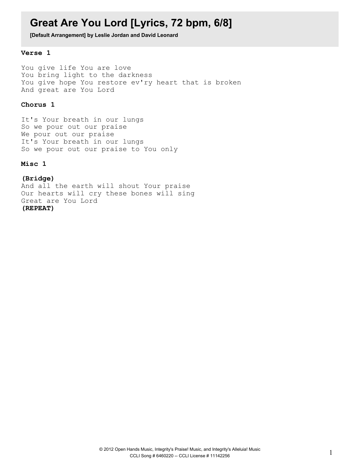## **Great Are You Lord [Lyrics, 72 bpm, 6/8]**

**[Default Arrangement] by Leslie Jordan and David Leonard**

#### **Verse 1**

You give life You are love You bring light to the darkness You give hope You restore ev'ry heart that is broken And great are You Lord

## **Chorus 1**

It's Your breath in our lungs So we pour out our praise We pour out our praise It's Your breath in our lungs So we pour out our praise to You only

**Misc 1**

**(Bridge)** And all the earth will shout Your praise Our hearts will cry these bones will sing Great are You Lord **(REPEAT)**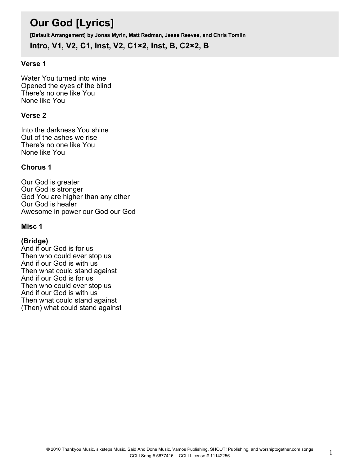# **Our God [Lyrics]**

**[Default Arrangement] by Jonas Myrin, Matt Redman, Jesse Reeves, and Chris Tomlin**

**Intro, V1, V2, C1, Inst, V2, C1×2, Inst, B, C2×2, B**

## **Verse 1**

Water You turned into wine Opened the eyes of the blind There's no one like You None like You

## **Verse 2**

Into the darkness You shine Out of the ashes we rise There's no one like You None like You

## **Chorus 1**

Our God is greater Our God is stronger God You are higher than any other Our God is healer Awesome in power our God our God

## **Misc 1**

## **(Bridge)**

And if our God is for us Then who could ever stop us And if our God is with us Then what could stand against And if our God is for us Then who could ever stop us And if our God is with us Then what could stand against (Then) what could stand against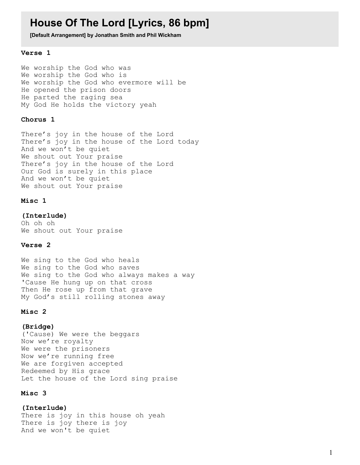## **House Of The Lord [Lyrics, 86 bpm]**

**[Default Arrangement] by Jonathan Smith and Phil Wickham**

#### **Verse 1**

We worship the God who was We worship the God who is We worship the God who evermore will be He opened the prison doors He parted the raging sea My God He holds the victory yeah

#### **Chorus 1**

There's joy in the house of the Lord There's joy in the house of the Lord today And we won't be quiet We shout out Your praise There's joy in the house of the Lord Our God is surely in this place And we won't be quiet We shout out Your praise

#### **Misc 1**

**(Interlude)** Oh oh oh We shout out Your praise

## **Verse 2**

We sing to the God who heals We sing to the God who saves We sing to the God who always makes a way 'Cause He hung up on that cross Then He rose up from that grave My God's still rolling stones away

## **Misc 2**

#### **(Bridge)**

('Cause) We were the beggars Now we're royalty We were the prisoners Now we're running free We are forgiven accepted Redeemed by His grace Let the house of the Lord sing praise

## **Misc 3**

**(Interlude)** There is joy in this house oh yeah There is joy there is joy And we won't be quiet